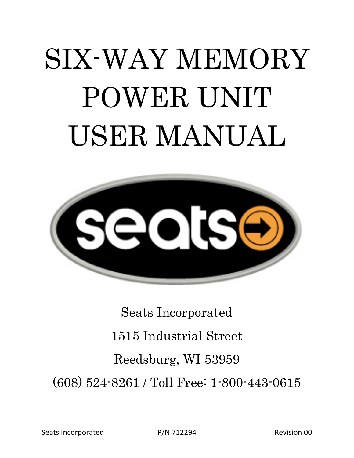# SIX-WAY MEMORY POWER UNIT USER MANUAL



Seats Incorporated 1515 Industrial Street Reedsburg, WI 53959 (608) 524-8261 / Toll Free: 1-800-443-0615

Seats Incorporated **P/N 712294** Revision 00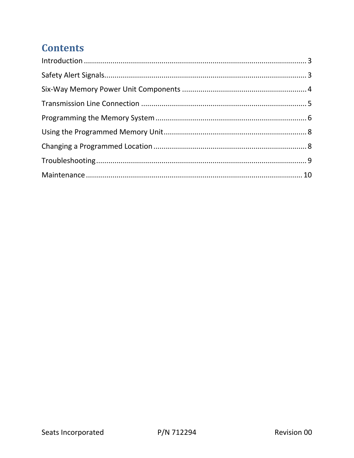### **Contents**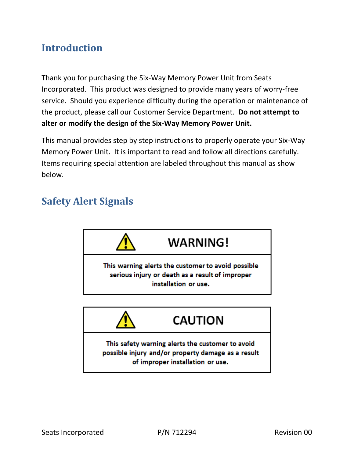#### **Introduction**

Thank you for purchasing the Six‐Way Memory Power Unit from Seats Incorporated. This product was designed to provide many years of worry‐free service. Should you experience difficulty during the operation or maintenance of the product, please call our Customer Service Department. **Do not attempt to alter or modify the design of the Six‐Way Memory Power Unit.**

This manual provides step by step instructions to properly operate your Six‐Way Memory Power Unit. It is important to read and follow all directions carefully. Items requiring special attention are labeled throughout this manual as show below.

#### **Safety Alert Signals**

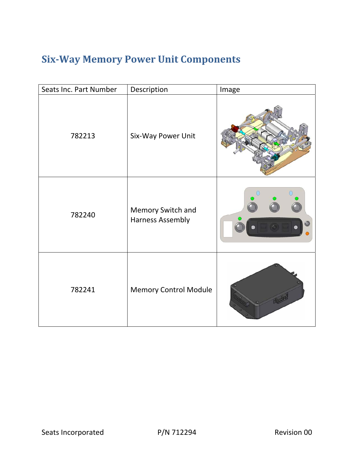## **Six‐Way Memory Power Unit Components**

| Seats Inc. Part Number | Description                                  | Image |
|------------------------|----------------------------------------------|-------|
| 782213                 | Six-Way Power Unit                           |       |
| 782240                 | Memory Switch and<br><b>Harness Assembly</b> |       |
| 782241                 | <b>Memory Control Module</b>                 |       |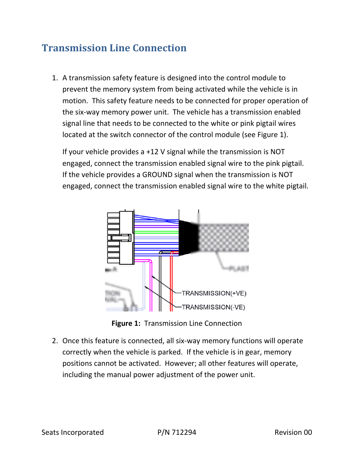#### **Transmission Line Connection**

1. A transmission safety feature is designed into the control module to prevent the memory system from being activated while the vehicle is in motion. This safety feature needs to be connected for proper operation of the six‐way memory power unit. The vehicle has a transmission enabled signal line that needs to be connected to the white or pink pigtail wires located at the switch connector of the control module (see Figure 1).

If your vehicle provides a +12 V signal while the transmission is NOT engaged, connect the transmission enabled signal wire to the pink pigtail. If the vehicle provides a GROUND signal when the transmission is NOT engaged, connect the transmission enabled signal wire to the white pigtail.



**Figure 1:** Transmission Line Connection

2. Once this feature is connected, all six‐way memory functions will operate correctly when the vehicle is parked. If the vehicle is in gear, memory positions cannot be activated. However; all other features will operate, including the manual power adjustment of the power unit.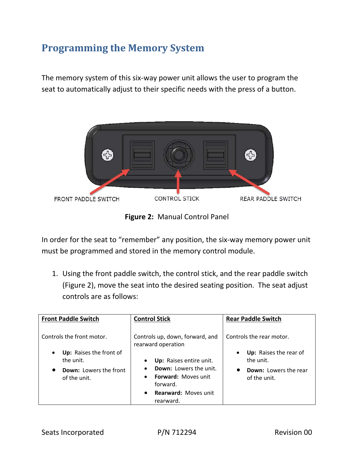#### **Programming the Memory System**

The memory system of this six‐way power unit allows the user to program the seat to automatically adjust to their specific needs with the press of a button.



**Figure 2:** Manual Control Panel

In order for the seat to "remember" any position, the six-way memory power unit must be programmed and stored in the memory control module.

1. Using the front paddle switch, the control stick, and the rear paddle switch (Figure 2), move the seat into the desired seating position. The seat adjust controls are as follows:

| <b>Front Paddle Switch</b>                        | <b>Control Stick</b>                                                                 | <b>Rear Paddle Switch</b>                    |
|---------------------------------------------------|--------------------------------------------------------------------------------------|----------------------------------------------|
| Controls the front motor.                         | Controls up, down, forward, and<br>rearward operation                                | Controls the rear motor.                     |
| Up: Raises the front of<br>$\bullet$<br>the unit. | Up: Raises entire unit.                                                              | Up: Raises the rear of<br>the unit.          |
| <b>Down: Lowers the front</b><br>of the unit.     | <b>Down:</b> Lowers the unit.<br><b>Forward: Moves unit</b><br>$\bullet$<br>forward. | <b>Down: Lowers the rear</b><br>of the unit. |
|                                                   | <b>Rearward: Moves unit</b><br>$\bullet$<br>rearward.                                |                                              |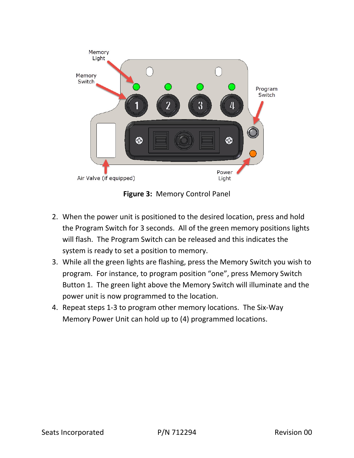

**Figure 3:** Memory Control Panel

- 2. When the power unit is positioned to the desired location, press and hold the Program Switch for 3 seconds. All of the green memory positions lights will flash. The Program Switch can be released and this indicates the system is ready to set a position to memory.
- 3. While all the green lights are flashing, press the Memory Switch you wish to program. For instance, to program position "one", press Memory Switch Button 1. The green light above the Memory Switch will illuminate and the power unit is now programmed to the location.
- 4. Repeat steps 1‐3 to program other memory locations. The Six‐Way Memory Power Unit can hold up to (4) programmed locations.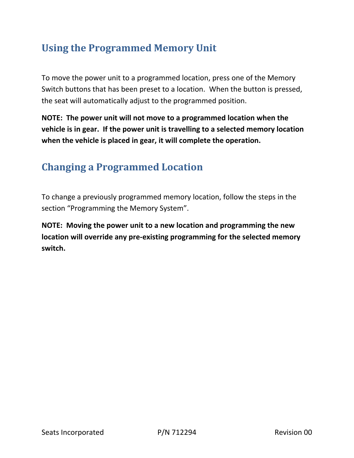#### **Using the Programmed Memory Unit**

To move the power unit to a programmed location, press one of the Memory Switch buttons that has been preset to a location. When the button is pressed, the seat will automatically adjust to the programmed position.

**NOTE: The power unit will not move to a programmed location when the vehicle is in gear. If the power unit is travelling to a selected memory location when the vehicle is placed in gear, it will complete the operation.** 

#### **Changing a Programmed Location**

To change a previously programmed memory location, follow the steps in the section "Programming the Memory System".

**NOTE: Moving the power unit to a new location and programming the new location will override any pre‐existing programming for the selected memory switch.**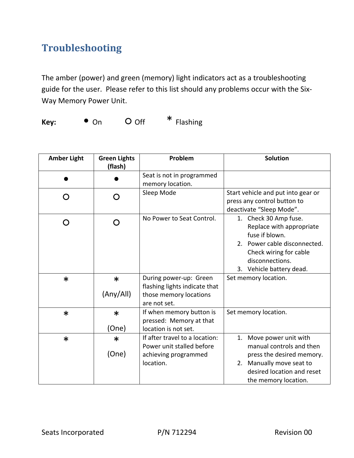### **Troubleshooting**

The amber (power) and green (memory) light indicators act as a troubleshooting guide for the user. Please refer to this list should any problems occur with the Six‐ Way Memory Power Unit.

**Key:** ● On ○ Off \* Flashing

| <b>Amber Light</b> | <b>Green Lights</b><br>(flash) | Problem                                                                                           | <b>Solution</b>                                                                                                                                                              |
|--------------------|--------------------------------|---------------------------------------------------------------------------------------------------|------------------------------------------------------------------------------------------------------------------------------------------------------------------------------|
|                    |                                | Seat is not in programmed                                                                         |                                                                                                                                                                              |
|                    | O                              | memory location.<br>Sleep Mode                                                                    | Start vehicle and put into gear or<br>press any control button to<br>deactivate "Sleep Mode".                                                                                |
| ∩                  | O                              | No Power to Seat Control.                                                                         | 1. Check 30 Amp fuse.<br>Replace with appropriate<br>fuse if blown.<br>2. Power cable disconnected.<br>Check wiring for cable<br>disconnections.<br>3. Vehicle battery dead. |
| $\ast$             | $\ast$<br>(Any/All)            | During power-up: Green<br>flashing lights indicate that<br>those memory locations<br>are not set. | Set memory location.                                                                                                                                                         |
| $\ast$             | $\ast$<br>(One)                | If when memory button is<br>pressed: Memory at that<br>location is not set.                       | Set memory location.                                                                                                                                                         |
| $\ast$             | $\ast$<br>(One)                | If after travel to a location:<br>Power unit stalled before<br>achieving programmed<br>location.  | 1. Move power unit with<br>manual controls and then<br>press the desired memory.<br>2. Manually move seat to<br>desired location and reset<br>the memory location.           |